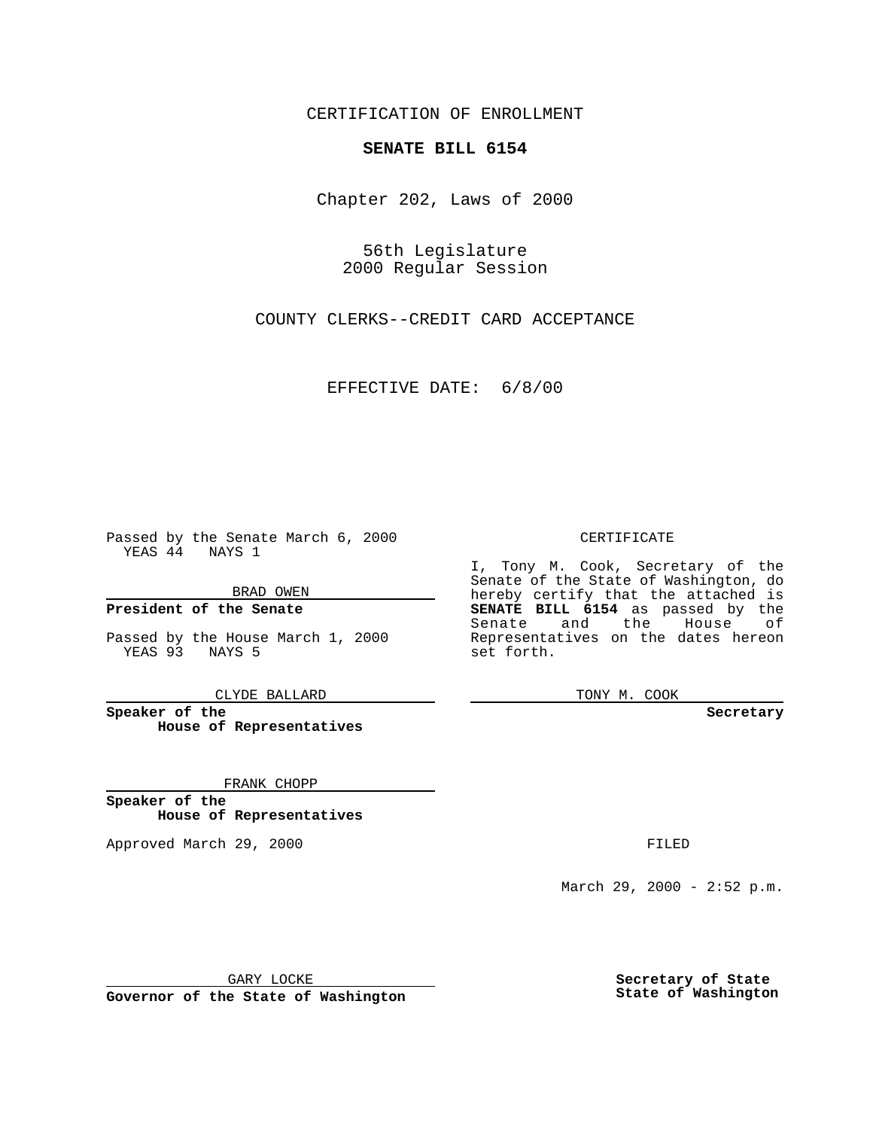CERTIFICATION OF ENROLLMENT

## **SENATE BILL 6154**

Chapter 202, Laws of 2000

56th Legislature 2000 Regular Session

COUNTY CLERKS--CREDIT CARD ACCEPTANCE

EFFECTIVE DATE: 6/8/00

Passed by the Senate March 6, 2000 YEAS 44 NAYS 1

BRAD OWEN

**President of the Senate**

Passed by the House March 1, 2000 YEAS 93 NAYS 5

CLYDE BALLARD

**Speaker of the House of Representatives**

FRANK CHOPP

**Speaker of the House of Representatives**

Approved March 29, 2000 FILED

## CERTIFICATE

I, Tony M. Cook, Secretary of the Senate of the State of Washington, do hereby certify that the attached is **SENATE BILL 6154** as passed by the Senate and the House of Representatives on the dates hereon set forth.

TONY M. COOK

**Secretary**

March 29, 2000 - 2:52 p.m.

GARY LOCKE

**Governor of the State of Washington**

**Secretary of State State of Washington**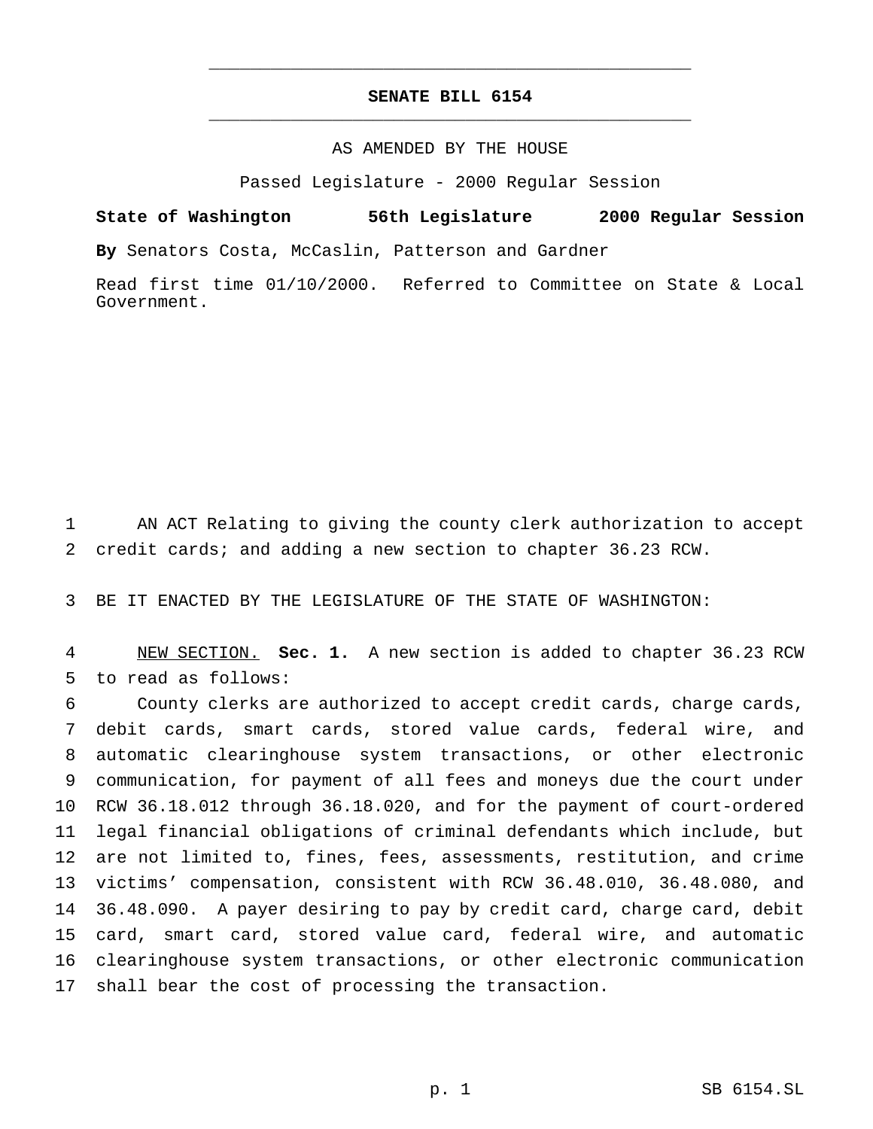## **SENATE BILL 6154** \_\_\_\_\_\_\_\_\_\_\_\_\_\_\_\_\_\_\_\_\_\_\_\_\_\_\_\_\_\_\_\_\_\_\_\_\_\_\_\_\_\_\_\_\_\_\_

\_\_\_\_\_\_\_\_\_\_\_\_\_\_\_\_\_\_\_\_\_\_\_\_\_\_\_\_\_\_\_\_\_\_\_\_\_\_\_\_\_\_\_\_\_\_\_

## AS AMENDED BY THE HOUSE

Passed Legislature - 2000 Regular Session

**State of Washington 56th Legislature 2000 Regular Session By** Senators Costa, McCaslin, Patterson and Gardner

Read first time 01/10/2000. Referred to Committee on State & Local Government.

 AN ACT Relating to giving the county clerk authorization to accept credit cards; and adding a new section to chapter 36.23 RCW.

BE IT ENACTED BY THE LEGISLATURE OF THE STATE OF WASHINGTON:

 NEW SECTION. **Sec. 1.** A new section is added to chapter 36.23 RCW to read as follows:

 County clerks are authorized to accept credit cards, charge cards, debit cards, smart cards, stored value cards, federal wire, and automatic clearinghouse system transactions, or other electronic communication, for payment of all fees and moneys due the court under RCW 36.18.012 through 36.18.020, and for the payment of court-ordered legal financial obligations of criminal defendants which include, but are not limited to, fines, fees, assessments, restitution, and crime victims' compensation, consistent with RCW 36.48.010, 36.48.080, and 36.48.090. A payer desiring to pay by credit card, charge card, debit card, smart card, stored value card, federal wire, and automatic clearinghouse system transactions, or other electronic communication shall bear the cost of processing the transaction.